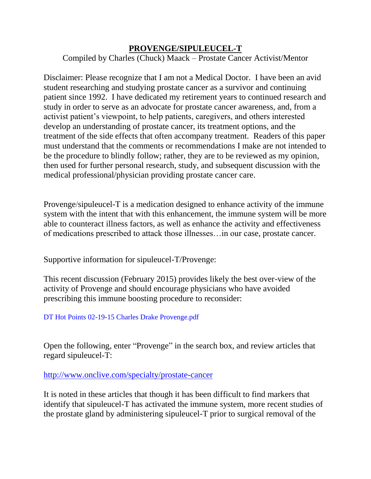## **PROVENGE/SIPULEUCEL-T**

Compiled by Charles (Chuck) Maack – Prostate Cancer Activist/Mentor

Disclaimer: Please recognize that I am not a Medical Doctor. I have been an avid student researching and studying prostate cancer as a survivor and continuing patient since 1992. I have dedicated my retirement years to continued research and study in order to serve as an advocate for prostate cancer awareness, and, from a activist patient's viewpoint, to help patients, caregivers, and others interested develop an understanding of prostate cancer, its treatment options, and the treatment of the side effects that often accompany treatment. Readers of this paper must understand that the comments or recommendations I make are not intended to be the procedure to blindly follow; rather, they are to be reviewed as my opinion, then used for further personal research, study, and subsequent discussion with the medical professional/physician providing prostate cancer care.

Provenge/sipuleucel-T is a medication designed to enhance activity of the immune system with the intent that with this enhancement, the immune system will be more able to counteract illness factors, as well as enhance the activity and effectiveness of medications prescribed to attack those illnesses…in our case, prostate cancer.

Supportive information for sipuleucel-T/Provenge:

This recent discussion (February 2015) provides likely the best over-view of the activity of Provenge and should encourage physicians who have avoided prescribing this immune boosting procedure to reconsider:

[DT Hot Points 02-19-15 Charles Drake Provenge.pdf](https://xa.yimg.com/kq/groups/4926965/28763834/name/DT%20Hot%20Points%2002-19-15%20Charles%20Drake%20Provenge.pdf)

Open the following, enter "Provenge" in the search box, and review articles that regard sipuleucel-T:

<http://www.onclive.com/specialty/prostate-cancer>

It is noted in these articles that though it has been difficult to find markers that identify that sipuleucel-T has activated the immune system, more recent studies of the prostate gland by administering sipuleucel-T prior to surgical removal of the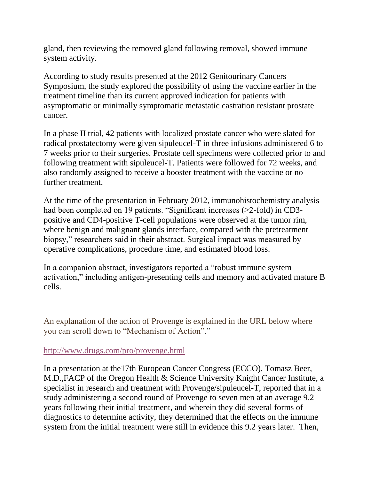gland, then reviewing the removed gland following removal, showed immune system activity.

According to study results presented at the 2012 Genitourinary Cancers Symposium, the study explored the possibility of using the vaccine earlier in the treatment timeline than its current approved indication for patients with asymptomatic or minimally symptomatic metastatic castration resistant prostate cancer.

In a phase II trial, 42 patients with localized prostate cancer who were slated for radical prostatectomy were given sipuleucel-T in three infusions administered 6 to 7 weeks prior to their surgeries. Prostate cell specimens were collected prior to and following treatment with sipuleucel-T. Patients were followed for 72 weeks, and also randomly assigned to receive a booster treatment with the vaccine or no further treatment.

At the time of the presentation in February 2012, immunohistochemistry analysis had been completed on 19 patients. "Significant increases (>2-fold) in CD3positive and CD4-positive T-cell populations were observed at the tumor rim, where benign and malignant glands interface, compared with the pretreatment biopsy," researchers said in their abstract. Surgical impact was measured by operative complications, procedure time, and estimated blood loss.

In a companion abstract, investigators reported a "robust immune system activation," including antigen-presenting cells and memory and activated mature B cells.

An explanation of the action of Provenge is explained in the URL below where you can scroll down to "Mechanism of Action"."

## <http://www.drugs.com/pro/provenge.html>

In a presentation at the17th European Cancer Congress (ECCO), Tomasz Beer, M.D.,FACP of the Oregon Health & Science University Knight Cancer Institute, a specialist in research and treatment with Provenge/sipuleucel-T, reported that in a study administering a second round of Provenge to seven men at an average 9.2 years following their initial treatment, and wherein they did several forms of diagnostics to determine activity, they determined that the effects on the immune system from the initial treatment were still in evidence this 9.2 years later. Then,